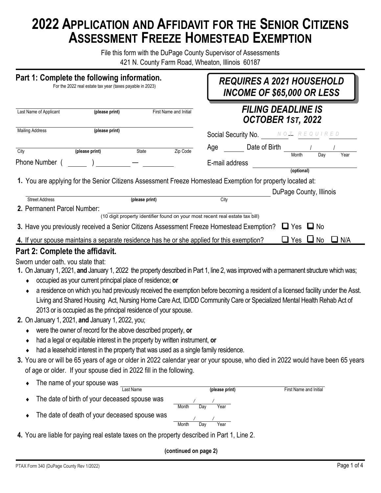# **2022 APPLICATION AND AFFIDAVIT FOR THE SENIOR CITIZENS ASSESSMENT FREEZE HOMESTEAD EXEMPTION**

File this form with the DuPage County Supervisor of Assessments 421 N. County Farm Road, Wheaton, Illinois 60187

| Part 1: Complete the following information.<br>For the 2022 real estate tax year (taxes payable in 2023) |                                                                                                                                                                                                                                                                                                                                 |                   |                                                                               | <b>REQUIRES A 2021 HOUSEHOLD</b><br><b>INCOME OF \$65,000 OR LESS</b>                                                                                                                                                                                                                                                                                                                               |               |  |  |  |
|----------------------------------------------------------------------------------------------------------|---------------------------------------------------------------------------------------------------------------------------------------------------------------------------------------------------------------------------------------------------------------------------------------------------------------------------------|-------------------|-------------------------------------------------------------------------------|-----------------------------------------------------------------------------------------------------------------------------------------------------------------------------------------------------------------------------------------------------------------------------------------------------------------------------------------------------------------------------------------------------|---------------|--|--|--|
| (please print)<br>First Name and Initial<br>Last Name of Applicant                                       |                                                                                                                                                                                                                                                                                                                                 |                   | <b>FILING DEADLINE IS</b><br>OCTOBER 1ST, 2022                                |                                                                                                                                                                                                                                                                                                                                                                                                     |               |  |  |  |
| Mailing Address                                                                                          | (please print)                                                                                                                                                                                                                                                                                                                  |                   |                                                                               | <b>Social Security No.</b> $N O I R E Q U I R E D$                                                                                                                                                                                                                                                                                                                                                  |               |  |  |  |
| City                                                                                                     | (please print)                                                                                                                                                                                                                                                                                                                  | State<br>Zip Code | Age                                                                           | Date of Birth<br>Month                                                                                                                                                                                                                                                                                                                                                                              | Year<br>Day   |  |  |  |
| Phone Number (                                                                                           |                                                                                                                                                                                                                                                                                                                                 |                   | E-mail address                                                                | (optional)                                                                                                                                                                                                                                                                                                                                                                                          |               |  |  |  |
|                                                                                                          |                                                                                                                                                                                                                                                                                                                                 |                   |                                                                               | 1. You are applying for the Senior Citizens Assessment Freeze Homestead Exemption for property located at:                                                                                                                                                                                                                                                                                          |               |  |  |  |
| <b>Street Address</b>                                                                                    |                                                                                                                                                                                                                                                                                                                                 | (please print)    | City                                                                          | DuPage County, Illinois                                                                                                                                                                                                                                                                                                                                                                             |               |  |  |  |
| 2. Permanent Parcel Number:                                                                              |                                                                                                                                                                                                                                                                                                                                 |                   | (10 digit property identifier found on your most recent real estate tax bill) |                                                                                                                                                                                                                                                                                                                                                                                                     |               |  |  |  |
|                                                                                                          | 3. Have you previously received a Senior Citizens Assessment Freeze Homestead Exemption?                                                                                                                                                                                                                                        |                   |                                                                               | $\Box$ Yes<br>$\sqcup$ No                                                                                                                                                                                                                                                                                                                                                                           |               |  |  |  |
|                                                                                                          | 4. If your spouse maintains a separate residence has he or she applied for this exemption?                                                                                                                                                                                                                                      |                   |                                                                               | $\Box$ No<br>Yes                                                                                                                                                                                                                                                                                                                                                                                    | $\square$ N/A |  |  |  |
| Part 2: Complete the affidavit.                                                                          |                                                                                                                                                                                                                                                                                                                                 |                   |                                                                               |                                                                                                                                                                                                                                                                                                                                                                                                     |               |  |  |  |
| Sworn under oath, you state that:<br>٠                                                                   | occupied as your current principal place of residence; or<br>2013 or is occupied as the principal residence of your spouse.<br>2. On January 1, 2021, and January 1, 2022, you;<br>were the owner of record for the above described property, or<br>had a legal or equitable interest in the property by written instrument, or |                   |                                                                               | 1. On January 1, 2021, and January 1, 2022 the property described in Part 1, line 2, was improved with a permanent structure which was;<br>a residence on which you had previously received the exemption before becoming a resident of a licensed facility under the Asst.<br>Living and Shared Housing Act, Nursing Home Care Act, ID/DD Community Care or Specialized Mental Health Rehab Act of |               |  |  |  |
| ٠                                                                                                        | had a leasehold interest in the property that was used as a single family residence.                                                                                                                                                                                                                                            |                   |                                                                               |                                                                                                                                                                                                                                                                                                                                                                                                     |               |  |  |  |
|                                                                                                          |                                                                                                                                                                                                                                                                                                                                 |                   |                                                                               | 3. You are or will be 65 years of age or older in 2022 calendar year or your spouse, who died in 2022 would have been 65 years                                                                                                                                                                                                                                                                      |               |  |  |  |
|                                                                                                          | of age or older. If your spouse died in 2022 fill in the following.                                                                                                                                                                                                                                                             |                   |                                                                               |                                                                                                                                                                                                                                                                                                                                                                                                     |               |  |  |  |
|                                                                                                          | The name of your spouse was<br><b>Last Name</b>                                                                                                                                                                                                                                                                                 |                   | (please print)                                                                | First Name and Initial                                                                                                                                                                                                                                                                                                                                                                              |               |  |  |  |
|                                                                                                          | The date of birth of your deceased spouse was                                                                                                                                                                                                                                                                                   | Month             | Year<br>Day                                                                   |                                                                                                                                                                                                                                                                                                                                                                                                     |               |  |  |  |
|                                                                                                          | The date of death of your deceased spouse was                                                                                                                                                                                                                                                                                   |                   |                                                                               |                                                                                                                                                                                                                                                                                                                                                                                                     |               |  |  |  |

**4.** You are liable for paying real estate taxes on the property described in Part 1, Line 2.

Month Day Year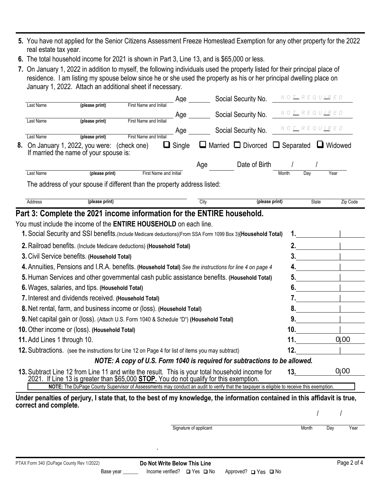- **5.** You have not applied for the Senior Citizens Assessment Freeze Homestead Exemption for any other property for the 2022 real estate tax year.
- **6.** The total household income for 2021 is shown in Part 3, Line 13, and is \$65,000 or less.
- **7.** On January 1, 2022 in addition to myself, the following individuals used the property listed for their principal place of residence. I am listing my spouse below since he or she used the property as his or her principal dwelling place on January 1, 2022. Attach an additional sheet if necessary.

| Last Name<br>(please print)<br>First Name and Initial<br>NOT REQUIRED<br>Social Security No.<br>Age<br>Last Name<br>First Name and Initia<br>(please print)<br>NO <u>t</u> REQU <u>IR</u> ED<br>Social Security No.<br>Age<br>First Name and Initial<br>Last Name<br>(please print)<br>$\Box$ Married $\Box$ Divorced $\Box$ Separated<br>U Widowed<br>On January 1, 2022, you were:<br>$\Box$ Single<br>8.<br>(check one)<br>If married the name of your spouse is:<br>Date of Birth<br>Age<br>(please print)<br>Last Name<br><b>First Name and Initial</b><br>Month<br>Day<br>Year<br>The address of your spouse if different than the property address listed:<br>Address<br>(please print)<br>City<br>(please print)<br>State<br>Zip Code<br>Part 3: Complete the 2021 income information for the ENTIRE household.<br>You must include the income of the ENTIRE HOUSEHOLD on each line.<br>1. Social Security and SSI benefits. (Include Medicare deductions) (From SSA Form 1099 Box 3) (Household Total)<br>2. Railroad benefits. (Include Medicare deductions) (Household Total)<br>2.<br>3. Civil Service benefits. (Household Total)<br>3.<br>4. Annuities, Pensions and I.R.A. benefits. (Household Total) See the instructions for line 4 on page 4<br>5. Human Services and other governmental cash public assistance benefits. (Household Total)<br>5.<br>6. Wages, salaries, and tips. (Household Total)<br>6.<br>7. Interest and dividends received. (Household Total)<br>7.<br>8. Net rental, farm, and business income or (loss). (Household Total)<br>8.<br>9. Net capital gain or (loss). (Attach U.S. Form 1040 & Schedule "D") (Household Total)<br>9.<br>10. Other income or (loss). (Household Total)<br>10.<br>01.00<br>11.<br>11. Add Lines 1 through 10.<br>12.<br>12. Subtractions. (see the instructions for Line 12 on Page 4 for list of items you may subtract)<br>NOTE: A copy of U.S. Form 1040 is required for subtractions to be allowed.<br>0 00<br>13. Subtract Line 12 from Line 11 and write the result. This is your total household income for<br>13.<br>2021. If Line 13 is greater than \$65,000 STOP. You do not qualify for this exemption.<br>NOTE: The DuPage County Supervisor of Assessments may conduct an audit to verify that the taxpayer is eligible to receive this exemption.<br>Under penalties of perjury, I state that, to the best of my knowledge, the information contained in this affidavit is true,<br>correct and complete.<br>Signature of applicant<br>Month<br>Year<br>Day |  |  |  |  | Age |  |  | Social Security No. | NOT REQUIRED |  |  |
|--------------------------------------------------------------------------------------------------------------------------------------------------------------------------------------------------------------------------------------------------------------------------------------------------------------------------------------------------------------------------------------------------------------------------------------------------------------------------------------------------------------------------------------------------------------------------------------------------------------------------------------------------------------------------------------------------------------------------------------------------------------------------------------------------------------------------------------------------------------------------------------------------------------------------------------------------------------------------------------------------------------------------------------------------------------------------------------------------------------------------------------------------------------------------------------------------------------------------------------------------------------------------------------------------------------------------------------------------------------------------------------------------------------------------------------------------------------------------------------------------------------------------------------------------------------------------------------------------------------------------------------------------------------------------------------------------------------------------------------------------------------------------------------------------------------------------------------------------------------------------------------------------------------------------------------------------------------------------------------------------------------------------------------------------------------------------------------------------------------------------------------------------------------------------------------------------------------------------------------------------------------------------------------------------------------------------------------------------------------------------------------------------------------------------------------------------------------------------------------------------------------------------------------------------|--|--|--|--|-----|--|--|---------------------|--------------|--|--|
|                                                                                                                                                                                                                                                                                                                                                                                                                                                                                                                                                                                                                                                                                                                                                                                                                                                                                                                                                                                                                                                                                                                                                                                                                                                                                                                                                                                                                                                                                                                                                                                                                                                                                                                                                                                                                                                                                                                                                                                                                                                                                                                                                                                                                                                                                                                                                                                                                                                                                                                                                  |  |  |  |  |     |  |  |                     |              |  |  |
|                                                                                                                                                                                                                                                                                                                                                                                                                                                                                                                                                                                                                                                                                                                                                                                                                                                                                                                                                                                                                                                                                                                                                                                                                                                                                                                                                                                                                                                                                                                                                                                                                                                                                                                                                                                                                                                                                                                                                                                                                                                                                                                                                                                                                                                                                                                                                                                                                                                                                                                                                  |  |  |  |  |     |  |  |                     |              |  |  |
|                                                                                                                                                                                                                                                                                                                                                                                                                                                                                                                                                                                                                                                                                                                                                                                                                                                                                                                                                                                                                                                                                                                                                                                                                                                                                                                                                                                                                                                                                                                                                                                                                                                                                                                                                                                                                                                                                                                                                                                                                                                                                                                                                                                                                                                                                                                                                                                                                                                                                                                                                  |  |  |  |  |     |  |  |                     |              |  |  |
|                                                                                                                                                                                                                                                                                                                                                                                                                                                                                                                                                                                                                                                                                                                                                                                                                                                                                                                                                                                                                                                                                                                                                                                                                                                                                                                                                                                                                                                                                                                                                                                                                                                                                                                                                                                                                                                                                                                                                                                                                                                                                                                                                                                                                                                                                                                                                                                                                                                                                                                                                  |  |  |  |  |     |  |  |                     |              |  |  |
|                                                                                                                                                                                                                                                                                                                                                                                                                                                                                                                                                                                                                                                                                                                                                                                                                                                                                                                                                                                                                                                                                                                                                                                                                                                                                                                                                                                                                                                                                                                                                                                                                                                                                                                                                                                                                                                                                                                                                                                                                                                                                                                                                                                                                                                                                                                                                                                                                                                                                                                                                  |  |  |  |  |     |  |  |                     |              |  |  |
|                                                                                                                                                                                                                                                                                                                                                                                                                                                                                                                                                                                                                                                                                                                                                                                                                                                                                                                                                                                                                                                                                                                                                                                                                                                                                                                                                                                                                                                                                                                                                                                                                                                                                                                                                                                                                                                                                                                                                                                                                                                                                                                                                                                                                                                                                                                                                                                                                                                                                                                                                  |  |  |  |  |     |  |  |                     |              |  |  |
|                                                                                                                                                                                                                                                                                                                                                                                                                                                                                                                                                                                                                                                                                                                                                                                                                                                                                                                                                                                                                                                                                                                                                                                                                                                                                                                                                                                                                                                                                                                                                                                                                                                                                                                                                                                                                                                                                                                                                                                                                                                                                                                                                                                                                                                                                                                                                                                                                                                                                                                                                  |  |  |  |  |     |  |  |                     |              |  |  |
|                                                                                                                                                                                                                                                                                                                                                                                                                                                                                                                                                                                                                                                                                                                                                                                                                                                                                                                                                                                                                                                                                                                                                                                                                                                                                                                                                                                                                                                                                                                                                                                                                                                                                                                                                                                                                                                                                                                                                                                                                                                                                                                                                                                                                                                                                                                                                                                                                                                                                                                                                  |  |  |  |  |     |  |  |                     |              |  |  |
|                                                                                                                                                                                                                                                                                                                                                                                                                                                                                                                                                                                                                                                                                                                                                                                                                                                                                                                                                                                                                                                                                                                                                                                                                                                                                                                                                                                                                                                                                                                                                                                                                                                                                                                                                                                                                                                                                                                                                                                                                                                                                                                                                                                                                                                                                                                                                                                                                                                                                                                                                  |  |  |  |  |     |  |  |                     |              |  |  |
|                                                                                                                                                                                                                                                                                                                                                                                                                                                                                                                                                                                                                                                                                                                                                                                                                                                                                                                                                                                                                                                                                                                                                                                                                                                                                                                                                                                                                                                                                                                                                                                                                                                                                                                                                                                                                                                                                                                                                                                                                                                                                                                                                                                                                                                                                                                                                                                                                                                                                                                                                  |  |  |  |  |     |  |  |                     |              |  |  |
|                                                                                                                                                                                                                                                                                                                                                                                                                                                                                                                                                                                                                                                                                                                                                                                                                                                                                                                                                                                                                                                                                                                                                                                                                                                                                                                                                                                                                                                                                                                                                                                                                                                                                                                                                                                                                                                                                                                                                                                                                                                                                                                                                                                                                                                                                                                                                                                                                                                                                                                                                  |  |  |  |  |     |  |  |                     |              |  |  |
|                                                                                                                                                                                                                                                                                                                                                                                                                                                                                                                                                                                                                                                                                                                                                                                                                                                                                                                                                                                                                                                                                                                                                                                                                                                                                                                                                                                                                                                                                                                                                                                                                                                                                                                                                                                                                                                                                                                                                                                                                                                                                                                                                                                                                                                                                                                                                                                                                                                                                                                                                  |  |  |  |  |     |  |  |                     |              |  |  |
|                                                                                                                                                                                                                                                                                                                                                                                                                                                                                                                                                                                                                                                                                                                                                                                                                                                                                                                                                                                                                                                                                                                                                                                                                                                                                                                                                                                                                                                                                                                                                                                                                                                                                                                                                                                                                                                                                                                                                                                                                                                                                                                                                                                                                                                                                                                                                                                                                                                                                                                                                  |  |  |  |  |     |  |  |                     |              |  |  |
|                                                                                                                                                                                                                                                                                                                                                                                                                                                                                                                                                                                                                                                                                                                                                                                                                                                                                                                                                                                                                                                                                                                                                                                                                                                                                                                                                                                                                                                                                                                                                                                                                                                                                                                                                                                                                                                                                                                                                                                                                                                                                                                                                                                                                                                                                                                                                                                                                                                                                                                                                  |  |  |  |  |     |  |  |                     |              |  |  |
|                                                                                                                                                                                                                                                                                                                                                                                                                                                                                                                                                                                                                                                                                                                                                                                                                                                                                                                                                                                                                                                                                                                                                                                                                                                                                                                                                                                                                                                                                                                                                                                                                                                                                                                                                                                                                                                                                                                                                                                                                                                                                                                                                                                                                                                                                                                                                                                                                                                                                                                                                  |  |  |  |  |     |  |  |                     |              |  |  |
|                                                                                                                                                                                                                                                                                                                                                                                                                                                                                                                                                                                                                                                                                                                                                                                                                                                                                                                                                                                                                                                                                                                                                                                                                                                                                                                                                                                                                                                                                                                                                                                                                                                                                                                                                                                                                                                                                                                                                                                                                                                                                                                                                                                                                                                                                                                                                                                                                                                                                                                                                  |  |  |  |  |     |  |  |                     |              |  |  |
|                                                                                                                                                                                                                                                                                                                                                                                                                                                                                                                                                                                                                                                                                                                                                                                                                                                                                                                                                                                                                                                                                                                                                                                                                                                                                                                                                                                                                                                                                                                                                                                                                                                                                                                                                                                                                                                                                                                                                                                                                                                                                                                                                                                                                                                                                                                                                                                                                                                                                                                                                  |  |  |  |  |     |  |  |                     |              |  |  |
|                                                                                                                                                                                                                                                                                                                                                                                                                                                                                                                                                                                                                                                                                                                                                                                                                                                                                                                                                                                                                                                                                                                                                                                                                                                                                                                                                                                                                                                                                                                                                                                                                                                                                                                                                                                                                                                                                                                                                                                                                                                                                                                                                                                                                                                                                                                                                                                                                                                                                                                                                  |  |  |  |  |     |  |  |                     |              |  |  |
|                                                                                                                                                                                                                                                                                                                                                                                                                                                                                                                                                                                                                                                                                                                                                                                                                                                                                                                                                                                                                                                                                                                                                                                                                                                                                                                                                                                                                                                                                                                                                                                                                                                                                                                                                                                                                                                                                                                                                                                                                                                                                                                                                                                                                                                                                                                                                                                                                                                                                                                                                  |  |  |  |  |     |  |  |                     |              |  |  |
|                                                                                                                                                                                                                                                                                                                                                                                                                                                                                                                                                                                                                                                                                                                                                                                                                                                                                                                                                                                                                                                                                                                                                                                                                                                                                                                                                                                                                                                                                                                                                                                                                                                                                                                                                                                                                                                                                                                                                                                                                                                                                                                                                                                                                                                                                                                                                                                                                                                                                                                                                  |  |  |  |  |     |  |  |                     |              |  |  |
|                                                                                                                                                                                                                                                                                                                                                                                                                                                                                                                                                                                                                                                                                                                                                                                                                                                                                                                                                                                                                                                                                                                                                                                                                                                                                                                                                                                                                                                                                                                                                                                                                                                                                                                                                                                                                                                                                                                                                                                                                                                                                                                                                                                                                                                                                                                                                                                                                                                                                                                                                  |  |  |  |  |     |  |  |                     |              |  |  |
|                                                                                                                                                                                                                                                                                                                                                                                                                                                                                                                                                                                                                                                                                                                                                                                                                                                                                                                                                                                                                                                                                                                                                                                                                                                                                                                                                                                                                                                                                                                                                                                                                                                                                                                                                                                                                                                                                                                                                                                                                                                                                                                                                                                                                                                                                                                                                                                                                                                                                                                                                  |  |  |  |  |     |  |  |                     |              |  |  |
|                                                                                                                                                                                                                                                                                                                                                                                                                                                                                                                                                                                                                                                                                                                                                                                                                                                                                                                                                                                                                                                                                                                                                                                                                                                                                                                                                                                                                                                                                                                                                                                                                                                                                                                                                                                                                                                                                                                                                                                                                                                                                                                                                                                                                                                                                                                                                                                                                                                                                                                                                  |  |  |  |  |     |  |  |                     |              |  |  |
|                                                                                                                                                                                                                                                                                                                                                                                                                                                                                                                                                                                                                                                                                                                                                                                                                                                                                                                                                                                                                                                                                                                                                                                                                                                                                                                                                                                                                                                                                                                                                                                                                                                                                                                                                                                                                                                                                                                                                                                                                                                                                                                                                                                                                                                                                                                                                                                                                                                                                                                                                  |  |  |  |  |     |  |  |                     |              |  |  |
|                                                                                                                                                                                                                                                                                                                                                                                                                                                                                                                                                                                                                                                                                                                                                                                                                                                                                                                                                                                                                                                                                                                                                                                                                                                                                                                                                                                                                                                                                                                                                                                                                                                                                                                                                                                                                                                                                                                                                                                                                                                                                                                                                                                                                                                                                                                                                                                                                                                                                                                                                  |  |  |  |  |     |  |  |                     |              |  |  |
|                                                                                                                                                                                                                                                                                                                                                                                                                                                                                                                                                                                                                                                                                                                                                                                                                                                                                                                                                                                                                                                                                                                                                                                                                                                                                                                                                                                                                                                                                                                                                                                                                                                                                                                                                                                                                                                                                                                                                                                                                                                                                                                                                                                                                                                                                                                                                                                                                                                                                                                                                  |  |  |  |  |     |  |  |                     |              |  |  |
|                                                                                                                                                                                                                                                                                                                                                                                                                                                                                                                                                                                                                                                                                                                                                                                                                                                                                                                                                                                                                                                                                                                                                                                                                                                                                                                                                                                                                                                                                                                                                                                                                                                                                                                                                                                                                                                                                                                                                                                                                                                                                                                                                                                                                                                                                                                                                                                                                                                                                                                                                  |  |  |  |  |     |  |  |                     |              |  |  |
|                                                                                                                                                                                                                                                                                                                                                                                                                                                                                                                                                                                                                                                                                                                                                                                                                                                                                                                                                                                                                                                                                                                                                                                                                                                                                                                                                                                                                                                                                                                                                                                                                                                                                                                                                                                                                                                                                                                                                                                                                                                                                                                                                                                                                                                                                                                                                                                                                                                                                                                                                  |  |  |  |  |     |  |  |                     |              |  |  |

.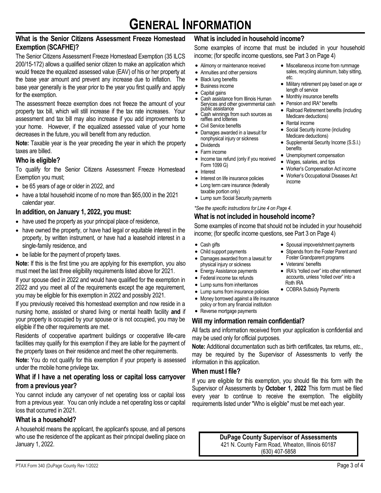# **What is the Senior Citizens Assessment Freeze Homestead Exemption (SCAFHE)?**

The Senior Citizens Assessment Freeze Homestead Exemption (35 ILCS 200/15-172) allows a qualified senior citizen to make an application which would freeze the equalized assessed value (EAV) of his or her property at the base year amount and prevent any increase due to inflation. The base year generally is the year prior to the year you first qualify and apply for the exemption.

The assessment freeze exemption does not freeze the amount of your property tax bill, which will still increase if the tax rate increases. Your assessment and tax bill may also increase if you add improvements to your home. However, if the equalized assessed value of your home decreases in the future, you will benefit from any reduction.

**Note:** Taxable year is the year preceding the year in which the property taxes are billed.

# **Who is eligible?**

To qualify for the Senior Citizens Assessment Freeze Homestead Exemption you must;

- be 65 years of age or older in 2022, and
- have a total household income of no more than \$65,000 in the 2021 calendar year.

# **In addition, on January 1, 2022, you must:**

- have used the property as your principal place of residence,
- have owned the property, or have had legal or equitable interest in the property, by written instrument, or have had a leasehold interest in a single-family residence, and
- be liable for the payment of property taxes.

**Note:** If this is the first time you are applying for this exemption, you also must meet the last three eligibility requirements listed above for 2021.

If your spouse died in 2022 and would have qualified for the exemption in 2022 and you meet all of the requirements except the age requirement, you may be eligible for this exemption in 2022 and possibly 2021.

If you previously received this homestead exemption and now reside in a nursing home, assisted or shared living or mental health facility **and** if your property is occupied by your spouse or is not occupied, you may be eligible if the other requirements are met.

Residents of cooperative apartment buildings or cooperative life-care facilities may qualify for this exemption if they are liable for the payment of the property taxes on their residence and meet the other requirements.

**Note:** You do not qualify for this exemption if your property is assessed under the mobile home privilege tax.

# **What if I have a net operating loss or capital loss carryover from a previous year?**

You cannot include any carryover of net operating loss or capital loss from a previous year. You can only include a net operating loss or capital loss that occurred in 2021.

# **What is a household?**

A household means the applicant, the applicant's spouse, and all persons who use the residence of the applicant as their principal dwelling place on January 1, 2022.

# **What is included in household income?**

Some examples of income that must be included in your household income; (for specific income questions, see Part 3 on Page 4)

*etc.*

benefits

income

length of service • Monthly insurance benefits • Pension and IRA\* benefits

Medicare deductions) • Rental income

- Alimony or maintenance received
- Annuities and other pensions
- Black lung benefits
- Business income
- Capital gains
- Cash assistance from Illinois Human Services and other governmental cash<br>public assistance
- $\bullet$  Cash winnings from such sources as raffles and lotteries
- Civil Service benefits
- Damages awarded in a lawsuit for nonphysical injury or sickness
- Dividends
- Farm income
- Income tax refund (only if you received Form 1099 G)
- Interest
- Interest on life insurance policies
- Long term care insurance (federally taxable portion only)
- Lump sum Social Security payments

#### *\*See the specific instructions for Line 4 on Page 4.*

# **What is not included in household income?**

Some examples of income that should not be included in your household income; (for specific income questions, see Part 3 on Page 4)

- Cash gifts
- Child support payments
- Damages awarded from a lawsuit for physical injury or sickness
- Energy Assistance payments
- Federal income tax refunds
- Lump sums from inheritances
- Lump sums from insurance policies
- Money borrowed against a life insurance policy or from any financial institution
- Reverse mortgage payments

# **Will my information remain confidential?**

All facts and information received from your application is confidential and may be used only for official purposes.

**Note:** Additional documentation such as birth certificates, tax returns, *etc.*, may be required by the Supervisor of Assessments to verify the information in this application.

# **When must I file?**

If you are eligible for this exemption, you should file this form with the Supervisor of Assessments by **October 1, 2022** This form must be filed every year to continue to receive the exemption. The eligibility requirements listed under "Who is eligible" must be met each year.

> **DuPage County Supervisor of Assessments** 421 N. County Farm Road, Wheaton, Illinois 60187 (630) 407-5858

- Spousal impoverishment payments Stipends from the Foster Parent and
	- Foster Grandparent programs
	- Veterans' benefits
	- IRA's "rolled over" into other retirement accounts, unless "rolled over" into a Roth IRA
	- COBRA Subsidy Payments

• Miscellaneous income from rummage sales, recycling aluminum, baby sitting,

• Military retirement pay based on age or

• Railroad Retirement benefits (including

Social Security income (including Medicare deductions)

• Unemployment compensation • Wages, salaries, and tips • Worker's Compensation Act income • Worker's Occupational Diseases Act

• Supplemental Security Income (S.S.I.)